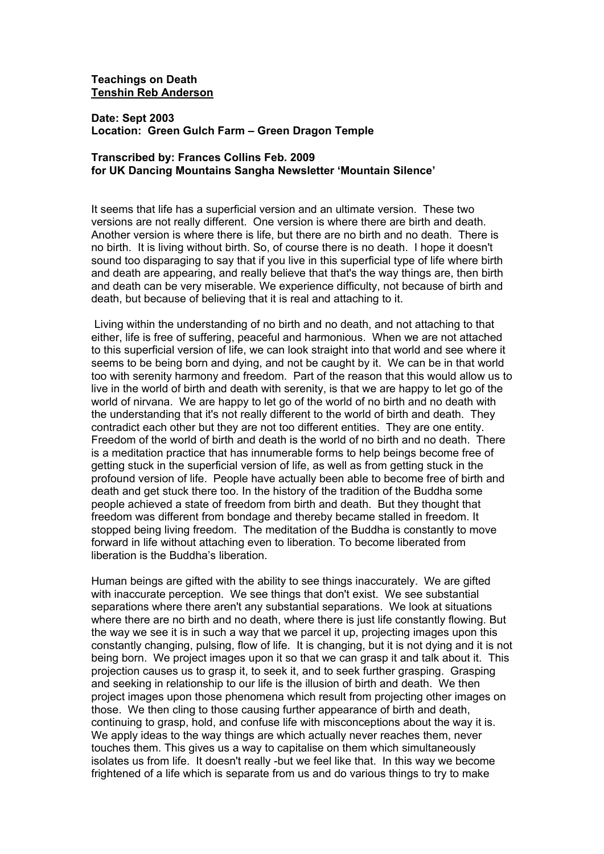## **Teachings on Death Tenshin Reb Anderson**

**Date: Sept 2003 Location: Green Gulch Farm – Green Dragon Temple**

## **Transcribed by: Frances Collins Feb. 2009 for UK Dancing Mountains Sangha Newsletter 'Mountain Silence'**

It seems that life has a superficial version and an ultimate version. These two versions are not really different. One version is where there are birth and death. Another version is where there is life, but there are no birth and no death. There is no birth. It is living without birth. So, of course there is no death. I hope it doesn't sound too disparaging to say that if you live in this superficial type of life where birth and death are appearing, and really believe that that's the way things are, then birth and death can be very miserable. We experience difficulty, not because of birth and death, but because of believing that it is real and attaching to it.

Living within the understanding of no birth and no death, and not attaching to that either, life is free of suffering, peaceful and harmonious. When we are not attached to this superficial version of life, we can look straight into that world and see where it seems to be being born and dying, and not be caught by it. We can be in that world too with serenity harmony and freedom. Part of the reason that this would allow us to live in the world of birth and death with serenity, is that we are happy to let go of the world of nirvana. We are happy to let go of the world of no birth and no death with the understanding that it's not really different to the world of birth and death. They contradict each other but they are not too different entities. They are one entity. Freedom of the world of birth and death is the world of no birth and no death. There is a meditation practice that has innumerable forms to help beings become free of getting stuck in the superficial version of life, as well as from getting stuck in the profound version of life. People have actually been able to become free of birth and death and get stuck there too. In the history of the tradition of the Buddha some people achieved a state of freedom from birth and death. But they thought that freedom was different from bondage and thereby became stalled in freedom. It stopped being living freedom. The meditation of the Buddha is constantly to move forward in life without attaching even to liberation. To become liberated from liberation is the Buddha's liberation.

Human beings are gifted with the ability to see things inaccurately. We are gifted with inaccurate perception. We see things that don't exist. We see substantial separations where there aren't any substantial separations. We look at situations where there are no birth and no death, where there is just life constantly flowing. But the way we see it is in such a way that we parcel it up, projecting images upon this constantly changing, pulsing, flow of life. It is changing, but it is not dying and it is not being born. We project images upon it so that we can grasp it and talk about it. This projection causes us to grasp it, to seek it, and to seek further grasping. Grasping and seeking in relationship to our life is the illusion of birth and death. We then project images upon those phenomena which result from projecting other images on those. We then cling to those causing further appearance of birth and death, continuing to grasp, hold, and confuse life with misconceptions about the way it is. We apply ideas to the way things are which actually never reaches them, never touches them. This gives us a way to capitalise on them which simultaneously isolates us from life. It doesn't really -but we feel like that. In this way we become frightened of a life which is separate from us and do various things to try to make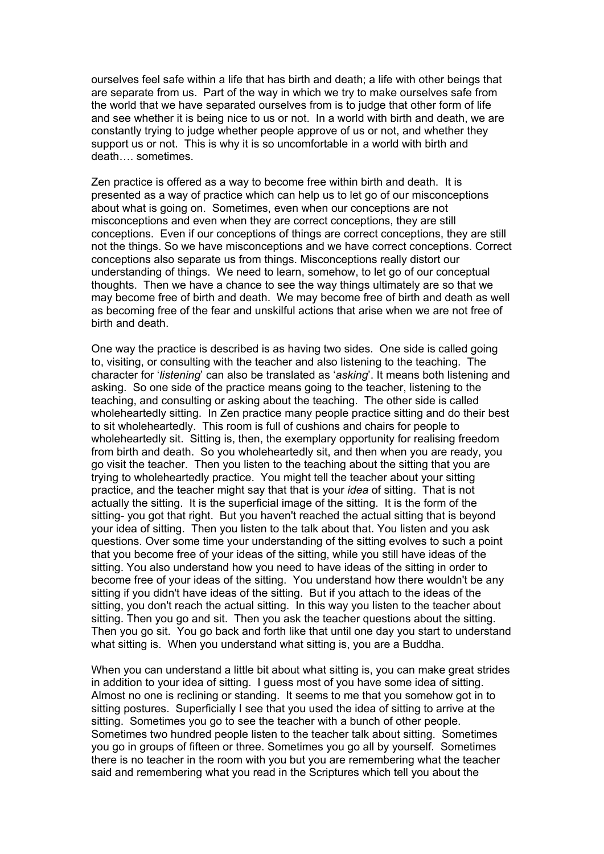ourselves feel safe within a life that has birth and death; a life with other beings that are separate from us. Part of the way in which we try to make ourselves safe from the world that we have separated ourselves from is to judge that other form of life and see whether it is being nice to us or not. In a world with birth and death, we are constantly trying to judge whether people approve of us or not, and whether they support us or not. This is why it is so uncomfortable in a world with birth and death…. sometimes.

Zen practice is offered as a way to become free within birth and death. It is presented as a way of practice which can help us to let go of our misconceptions about what is going on. Sometimes, even when our conceptions are not misconceptions and even when they are correct conceptions, they are still conceptions. Even if our conceptions of things are correct conceptions, they are still not the things. So we have misconceptions and we have correct conceptions. Correct conceptions also separate us from things. Misconceptions really distort our understanding of things. We need to learn, somehow, to let go of our conceptual thoughts. Then we have a chance to see the way things ultimately are so that we may become free of birth and death. We may become free of birth and death as well as becoming free of the fear and unskilful actions that arise when we are not free of birth and death.

One way the practice is described is as having two sides. One side is called going to, visiting, or consulting with the teacher and also listening to the teaching. The character for '*listening*' can also be translated as '*asking*'. It means both listening and asking. So one side of the practice means going to the teacher, listening to the teaching, and consulting or asking about the teaching. The other side is called wholeheartedly sitting. In Zen practice many people practice sitting and do their best to sit wholeheartedly. This room is full of cushions and chairs for people to wholeheartedly sit. Sitting is, then, the exemplary opportunity for realising freedom from birth and death. So you wholeheartedly sit, and then when you are ready, you go visit the teacher. Then you listen to the teaching about the sitting that you are trying to wholeheartedly practice. You might tell the teacher about your sitting practice, and the teacher might say that that is your *idea* of sitting. That is not actually the sitting. It is the superficial image of the sitting. It is the form of the sitting- you got that right. But you haven't reached the actual sitting that is beyond your idea of sitting. Then you listen to the talk about that. You listen and you ask questions. Over some time your understanding of the sitting evolves to such a point that you become free of your ideas of the sitting, while you still have ideas of the sitting. You also understand how you need to have ideas of the sitting in order to become free of your ideas of the sitting. You understand how there wouldn't be any sitting if you didn't have ideas of the sitting. But if you attach to the ideas of the sitting, you don't reach the actual sitting. In this way you listen to the teacher about sitting. Then you go and sit. Then you ask the teacher questions about the sitting. Then you go sit. You go back and forth like that until one day you start to understand what sitting is. When you understand what sitting is, you are a Buddha.

When you can understand a little bit about what sitting is, you can make great strides in addition to your idea of sitting. I guess most of you have some idea of sitting. Almost no one is reclining or standing. It seems to me that you somehow got in to sitting postures. Superficially I see that you used the idea of sitting to arrive at the sitting. Sometimes you go to see the teacher with a bunch of other people. Sometimes two hundred people listen to the teacher talk about sitting. Sometimes you go in groups of fifteen or three. Sometimes you go all by yourself. Sometimes there is no teacher in the room with you but you are remembering what the teacher said and remembering what you read in the Scriptures which tell you about the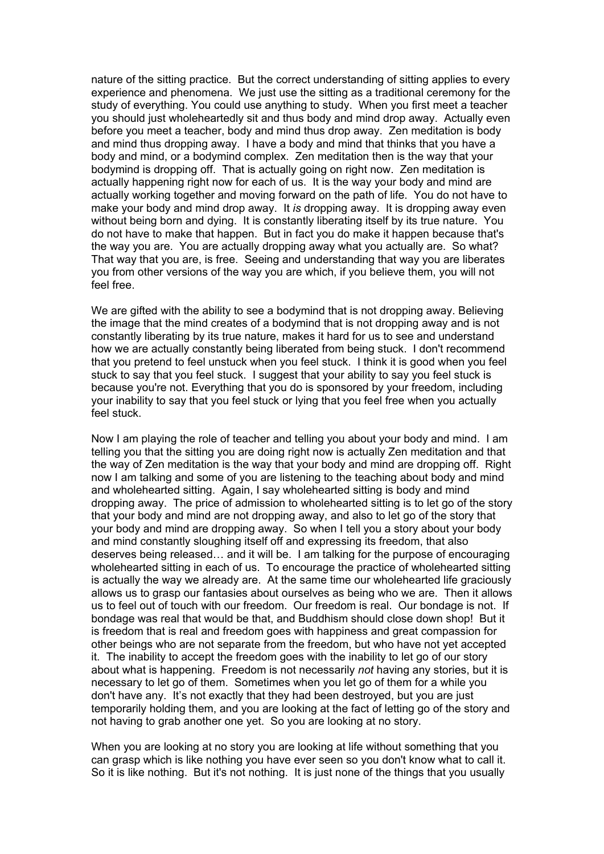nature of the sitting practice. But the correct understanding of sitting applies to every experience and phenomena. We just use the sitting as a traditional ceremony for the study of everything. You could use anything to study. When you first meet a teacher you should just wholeheartedly sit and thus body and mind drop away. Actually even before you meet a teacher, body and mind thus drop away. Zen meditation is body and mind thus dropping away. I have a body and mind that thinks that you have a body and mind, or a bodymind complex. Zen meditation then is the way that your bodymind is dropping off. That is actually going on right now. Zen meditation is actually happening right now for each of us. It is the way your body and mind are actually working together and moving forward on the path of life. You do not have to make your body and mind drop away. It *is* dropping away. It is dropping away even without being born and dying. It is constantly liberating itself by its true nature. You do not have to make that happen. But in fact you do make it happen because that's the way you are. You are actually dropping away what you actually are. So what? That way that you are, is free. Seeing and understanding that way you are liberates you from other versions of the way you are which, if you believe them, you will not feel free.

We are gifted with the ability to see a bodymind that is not dropping away. Believing the image that the mind creates of a bodymind that is not dropping away and is not constantly liberating by its true nature, makes it hard for us to see and understand how we are actually constantly being liberated from being stuck. I don't recommend that you pretend to feel unstuck when you feel stuck. I think it is good when you feel stuck to say that you feel stuck. I suggest that your ability to say you feel stuck is because you're not. Everything that you do is sponsored by your freedom, including your inability to say that you feel stuck or lying that you feel free when you actually feel stuck.

Now I am playing the role of teacher and telling you about your body and mind. I am telling you that the sitting you are doing right now is actually Zen meditation and that the way of Zen meditation is the way that your body and mind are dropping off. Right now I am talking and some of you are listening to the teaching about body and mind and wholehearted sitting. Again, I say wholehearted sitting is body and mind dropping away. The price of admission to wholehearted sitting is to let go of the story that your body and mind are not dropping away, and also to let go of the story that your body and mind are dropping away. So when I tell you a story about your body and mind constantly sloughing itself off and expressing its freedom, that also deserves being released… and it will be. I am talking for the purpose of encouraging wholehearted sitting in each of us. To encourage the practice of wholehearted sitting is actually the way we already are. At the same time our wholehearted life graciously allows us to grasp our fantasies about ourselves as being who we are. Then it allows us to feel out of touch with our freedom. Our freedom is real. Our bondage is not. If bondage was real that would be that, and Buddhism should close down shop! But it is freedom that is real and freedom goes with happiness and great compassion for other beings who are not separate from the freedom, but who have not yet accepted it. The inability to accept the freedom goes with the inability to let go of our story about what is happening. Freedom is not necessarily *not* having any stories, but it is necessary to let go of them. Sometimes when you let go of them for a while you don't have any. It's not exactly that they had been destroyed, but you are just temporarily holding them, and you are looking at the fact of letting go of the story and not having to grab another one yet. So you are looking at no story.

When you are looking at no story you are looking at life without something that you can grasp which is like nothing you have ever seen so you don't know what to call it. So it is like nothing. But it's not nothing. It is just none of the things that you usually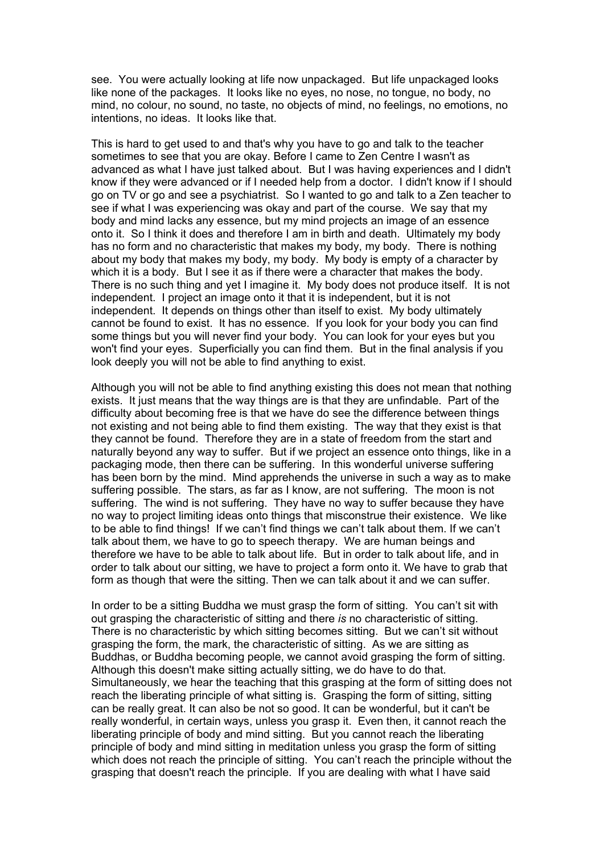see. You were actually looking at life now unpackaged. But life unpackaged looks like none of the packages. It looks like no eyes, no nose, no tongue, no body, no mind, no colour, no sound, no taste, no objects of mind, no feelings, no emotions, no intentions, no ideas. It looks like that.

This is hard to get used to and that's why you have to go and talk to the teacher sometimes to see that you are okay. Before I came to Zen Centre I wasn't as advanced as what I have just talked about. But I was having experiences and I didn't know if they were advanced or if I needed help from a doctor. I didn't know if I should go on TV or go and see a psychiatrist. So I wanted to go and talk to a Zen teacher to see if what I was experiencing was okay and part of the course. We say that my body and mind lacks any essence, but my mind projects an image of an essence onto it. So I think it does and therefore I am in birth and death. Ultimately my body has no form and no characteristic that makes my body, my body. There is nothing about my body that makes my body, my body. My body is empty of a character by which it is a body. But I see it as if there were a character that makes the body. There is no such thing and yet I imagine it. My body does not produce itself. It is not independent. I project an image onto it that it is independent, but it is not independent. It depends on things other than itself to exist. My body ultimately cannot be found to exist. It has no essence. If you look for your body you can find some things but you will never find your body. You can look for your eyes but you won't find your eyes. Superficially you can find them. But in the final analysis if you look deeply you will not be able to find anything to exist.

Although you will not be able to find anything existing this does not mean that nothing exists. It just means that the way things are is that they are unfindable. Part of the difficulty about becoming free is that we have do see the difference between things not existing and not being able to find them existing. The way that they exist is that they cannot be found. Therefore they are in a state of freedom from the start and naturally beyond any way to suffer. But if we project an essence onto things, like in a packaging mode, then there can be suffering. In this wonderful universe suffering has been born by the mind. Mind apprehends the universe in such a way as to make suffering possible. The stars, as far as I know, are not suffering. The moon is not suffering. The wind is not suffering. They have no way to suffer because they have no way to project limiting ideas onto things that misconstrue their existence. We like to be able to find things! If we can't find things we can't talk about them. If we can't talk about them, we have to go to speech therapy. We are human beings and therefore we have to be able to talk about life. But in order to talk about life, and in order to talk about our sitting, we have to project a form onto it. We have to grab that form as though that were the sitting. Then we can talk about it and we can suffer.

In order to be a sitting Buddha we must grasp the form of sitting. You can't sit with out grasping the characteristic of sitting and there *is* no characteristic of sitting. There is no characteristic by which sitting becomes sitting. But we can't sit without grasping the form, the mark, the characteristic of sitting. As we are sitting as Buddhas, or Buddha becoming people, we cannot avoid grasping the form of sitting. Although this doesn't make sitting actually sitting, we do have to do that. Simultaneously, we hear the teaching that this grasping at the form of sitting does not reach the liberating principle of what sitting is. Grasping the form of sitting, sitting can be really great. It can also be not so good. It can be wonderful, but it can't be really wonderful, in certain ways, unless you grasp it. Even then, it cannot reach the liberating principle of body and mind sitting. But you cannot reach the liberating principle of body and mind sitting in meditation unless you grasp the form of sitting which does not reach the principle of sitting. You can't reach the principle without the grasping that doesn't reach the principle. If you are dealing with what I have said